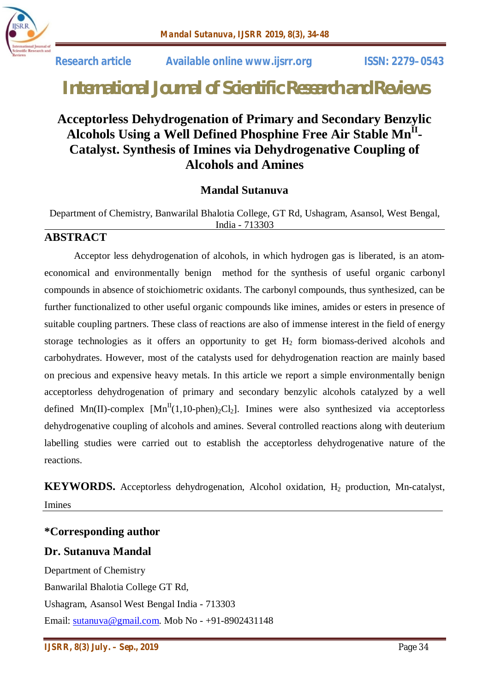

 **Research article Available online www.ijsrr.org ISSN: 2279–0543**

# *International Journal of Scientific Research and Reviews*

## **Acceptorless Dehydrogenation of Primary and Secondary Benzylic Alcohols Using a Well Defined Phosphine Free Air Stable MnII - Catalyst. Synthesis of Imines via Dehydrogenative Coupling of Alcohols and Amines**

#### **Mandal Sutanuva**

Department of Chemistry, Banwarilal Bhalotia College, GT Rd, Ushagram, Asansol, West Bengal, India - 713303

#### **ABSTRACT**

Acceptor less dehydrogenation of alcohols, in which hydrogen gas is liberated, is an atomeconomical and environmentally benign method for the synthesis of useful organic carbonyl compounds in absence of stoichiometric oxidants. The carbonyl compounds, thus synthesized, can be further functionalized to other useful organic compounds like imines, amides or esters in presence of suitable coupling partners. These class of reactions are also of immense interest in the field of energy storage technologies as it offers an opportunity to get  $H_2$  form biomass-derived alcohols and carbohydrates. However, most of the catalysts used for dehydrogenation reaction are mainly based on precious and expensive heavy metals. In this article we report a simple environmentally benign acceptorless dehydrogenation of primary and secondary benzylic alcohols catalyzed by a well defined Mn(II)-complex  $[Mn^{II}(1,10\text{-phen})_2Cl_2]$ . Imines were also synthesized via acceptorless dehydrogenative coupling of alcohols and amines. Several controlled reactions along with deuterium labelling studies were carried out to establish the acceptorless dehydrogenative nature of the reactions.

**KEYWORDS.** Acceptorless dehydrogenation, Alcohol oxidation, H<sub>2</sub> production, Mn-catalyst, Imines

#### **\*Corresponding author**

#### **Dr. Sutanuva Mandal**

Department of Chemistry Banwarilal Bhalotia College GT Rd, Ushagram, Asansol West Bengal India - 713303 Email: sutanuva@gmail.com. Mob No - +91-8902431148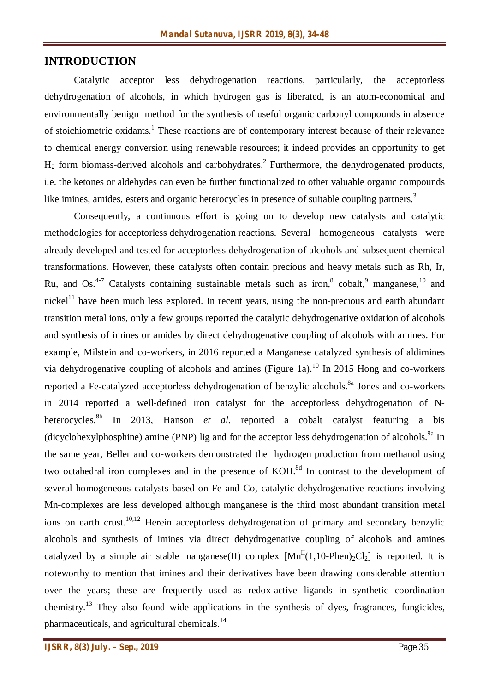#### **INTRODUCTION**

Catalytic acceptor less dehydrogenation reactions, particularly, the acceptorless dehydrogenation of alcohols, in which hydrogen gas is liberated, is an atom-economical and environmentally benign method for the synthesis of useful organic carbonyl compounds in absence of stoichiometric oxidants.<sup>1</sup> These reactions are of contemporary interest because of their relevance to chemical energy conversion using renewable resources; it indeed provides an opportunity to get  $H_2$  form biomass-derived alcohols and carbohydrates.<sup>2</sup> Furthermore, the dehydrogenated products, i.e. the ketones or aldehydes can even be further functionalized to other valuable organic compounds like imines, amides, esters and organic heterocycles in presence of suitable coupling partners.<sup>3</sup>

Consequently, a continuous effort is going on to develop new catalysts and catalytic methodologies for acceptorless dehydrogenation reactions. Several homogeneous catalysts were already developed and tested for acceptorless dehydrogenation of alcohols and subsequent chemical transformations. However, these catalysts often contain precious and heavy metals such as Rh, Ir, Ru, and Os.<sup>4-7</sup> Catalysts containing sustainable metals such as iron,  $8 \text{ cobalt}$ ,  $9 \text{ manganese}$ ,  $10 \text{ and } 10 \text{ s}$ nickel<sup>11</sup> have been much less explored. In recent years, using the non-precious and earth abundant transition metal ions, only a few groups reported the catalytic dehydrogenative oxidation of alcohols and synthesis of imines or amides by direct dehydrogenative coupling of alcohols with amines. For example, Milstein and co-workers, in 2016 reported a Manganese catalyzed synthesis of aldimines via dehydrogenative coupling of alcohols and amines (Figure 1a).<sup>10</sup> In 2015 Hong and co-workers reported a Fe-catalyzed acceptorless dehydrogenation of benzylic alcohols.<sup>8a</sup> Jones and co-workers in 2014 reported a well-defined iron catalyst for the acceptorless dehydrogenation of Nheterocycles. 8b In 2013, Hanson *et al.* reported a cobalt catalyst featuring a bis (dicyclohexylphosphine) amine (PNP) lig and for the acceptor less dehydrogenation of alcohols.<sup>9a</sup> In the same year, Beller and co-workers demonstrated the hydrogen production from methanol using two octahedral iron complexes and in the presence of KOH.<sup>8d</sup> In contrast to the development of several homogeneous catalysts based on Fe and Co, catalytic dehydrogenative reactions involving Mn-complexes are less developed although manganese is the third most abundant transition metal ions on earth crust.<sup>10,12</sup> Herein acceptorless dehydrogenation of primary and secondary benzylic alcohols and synthesis of imines via direct dehydrogenative coupling of alcohols and amines catalyzed by a simple air stable manganese(II) complex  $[Mn<sup>H</sup>(1,10-Phen)<sub>2</sub>Cl<sub>2</sub>]$  is reported. It is noteworthy to mention that imines and their derivatives have been drawing considerable attention over the years; these are frequently used as redox-active ligands in synthetic coordination chemistry.<sup>13</sup> They also found wide applications in the synthesis of dyes, fragrances, fungicides, pharmaceuticals, and agricultural chemicals.<sup>14</sup>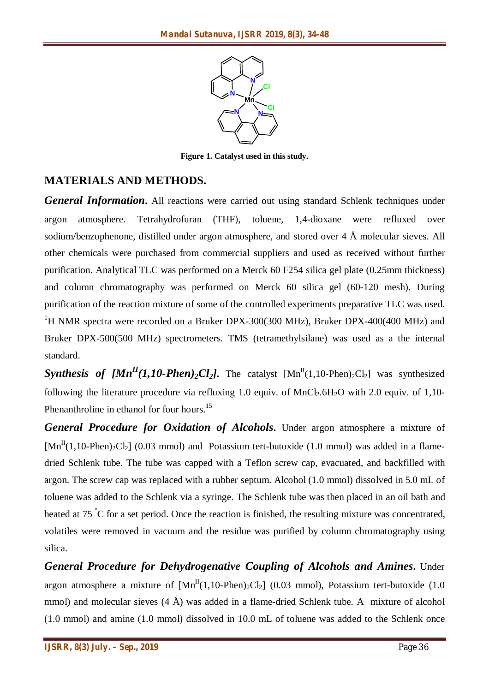

**Figure 1. Catalyst used in this study.**

### **MATERIALS AND METHODS.**

*General Information*. All reactions were carried out using standard Schlenk techniques under argon atmosphere. Tetrahydrofuran (THF), toluene, 1,4-dioxane were refluxed over sodium/benzophenone, distilled under argon atmosphere, and stored over 4 Å molecular sieves. All other chemicals were purchased from commercial suppliers and used as received without further purification. Analytical TLC was performed on a Merck 60 F254 silica gel plate (0.25mm thickness) and column chromatography was performed on Merck 60 silica gel (60-120 mesh). During purification of the reaction mixture of some of the controlled experiments preparative TLC was used. <sup>1</sup>H NMR spectra were recorded on a Bruker DPX-300(300 MHz), Bruker DPX-400(400 MHz) and Bruker DPX-500(500 MHz) spectrometers. TMS (tetramethylsilane) was used as a the internal standard.

**Synthesis of**  $[Mn^{\text{II}}(1,10\text{-}Phen)\text{-}Cl_2]$ **.** The catalyst  $[Mn^{\text{II}}(1,10\text{-}Phen)\text{-}Cl_2]$  was synthesized following the literature procedure via refluxing 1.0 equiv. of MnCl<sub>2</sub>.6H<sub>2</sub>O with 2.0 equiv. of 1,10-Phenanthroline in ethanol for four hours.<sup>15</sup>

*General Procedure for Oxidation of Alcohols***.** Under argon atmosphere a mixture of  $\text{[Mn}^{\text{II}}(1,10\text{-Phen})_2\text{Cl}_2$ ] (0.03 mmol) and Potassium tert-butoxide (1.0 mmol) was added in a flamedried Schlenk tube. The tube was capped with a Teflon screw cap, evacuated, and backfilled with argon. The screw cap was replaced with a rubber septum. Alcohol (1.0 mmol) dissolved in 5.0 mL of toluene was added to the Schlenk via a syringe. The Schlenk tube was then placed in an oil bath and heated at 75 °C for a set period. Once the reaction is finished, the resulting mixture was concentrated, volatiles were removed in vacuum and the residue was purified by column chromatography using silica.

*General Procedure for Dehydrogenative Coupling of Alcohols and Amines***.** Under argon atmosphere a mixture of  $[Mn^{II}(1,10-Phen)_{2}Cl_{2}]$  (0.03 mmol), Potassium tert-butoxide (1.0 mmol) and molecular sieves  $(4 \text{ Å})$  was added in a flame-dried Schlenk tube. A mixture of alcohol (1.0 mmol) and amine (1.0 mmol) dissolved in 10.0 mL of toluene was added to the Schlenk once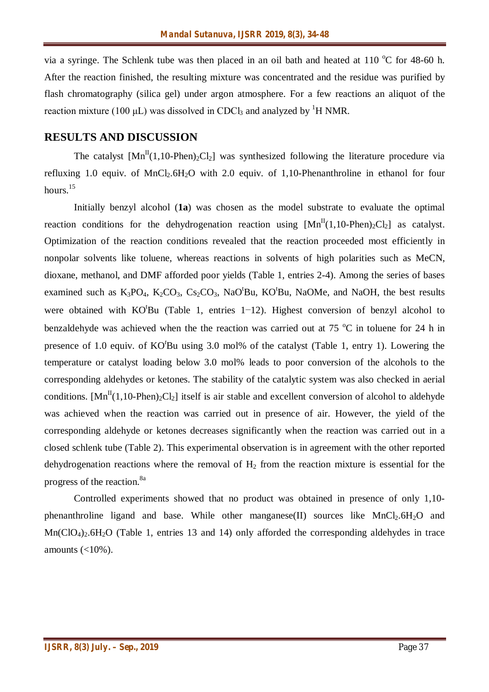via a syringe. The Schlenk tube was then placed in an oil bath and heated at  $110\degree$ C for 48-60 h. After the reaction finished, the resulting mixture was concentrated and the residue was purified by flash chromatography (silica gel) under argon atmosphere. For a few reactions an aliquot of the reaction mixture (100 μL) was dissolved in CDCl<sub>3</sub> and analyzed by <sup>1</sup>H NMR.

#### **RESULTS AND DISCUSSION**

The catalyst  $[Mn^{II}(1,10-Phen)_{2}Cl_{2}]$  was synthesized following the literature procedure via refluxing 1.0 equiv. of  $MnCl<sub>2</sub>.6H<sub>2</sub>O$  with 2.0 equiv. of 1,10-Phenanthroline in ethanol for four hours.<sup>15</sup>

Initially benzyl alcohol (**1a**) was chosen as the model substrate to evaluate the optimal reaction conditions for the dehydrogenation reaction using  $[Mn<sup>H</sup>(1,10-Phen)<sub>2</sub>Cl<sub>2</sub>]$  as catalyst. Optimization of the reaction conditions revealed that the reaction proceeded most efficiently in nonpolar solvents like toluene, whereas reactions in solvents of high polarities such as MeCN, dioxane, methanol, and DMF afforded poor yields (Table 1, entries 2-4). Among the series of bases examined such as  $K_3PO_4$ ,  $K_2CO_3$ ,  $Cs_2CO_3$ ,  $NaO<sup>t</sup>Bu$ ,  $KO<sup>t</sup>Bu$ , NaOMe, and NaOH, the best results were obtained with KO<sup>t</sup>Bu (Table 1, entries 1−12). Highest conversion of benzyl alcohol to benzaldehyde was achieved when the the reaction was carried out at  $75 \degree C$  in toluene for 24 h in presence of 1.0 equiv. of KO*<sup>t</sup>*Bu using 3.0 mol% of the catalyst (Table 1, entry 1). Lowering the temperature or catalyst loading below 3.0 mol% leads to poor conversion of the alcohols to the corresponding aldehydes or ketones. The stability of the catalytic system was also checked in aerial conditions.  $[Mn^{II}(1,10-Phen)_{2}Cl_{2}]$  itself is air stable and excellent conversion of alcohol to aldehyde was achieved when the reaction was carried out in presence of air. However, the yield of the corresponding aldehyde or ketones decreases significantly when the reaction was carried out in a closed schlenk tube (Table 2). This experimental observation is in agreement with the other reported dehydrogenation reactions where the removal of  $H_2$  from the reaction mixture is essential for the progress of the reaction.<sup>8a</sup>

Controlled experiments showed that no product was obtained in presence of only 1,10 phenanthroline ligand and base. While other manganese(II) sources like  $MnCl<sub>2</sub>.6H<sub>2</sub>O$  and  $Mn(CIO<sub>4</sub>)$ . 6H<sub>2</sub>O (Table 1, entries 13 and 14) only afforded the corresponding aldehydes in trace amounts  $\left( <10\% \right)$ .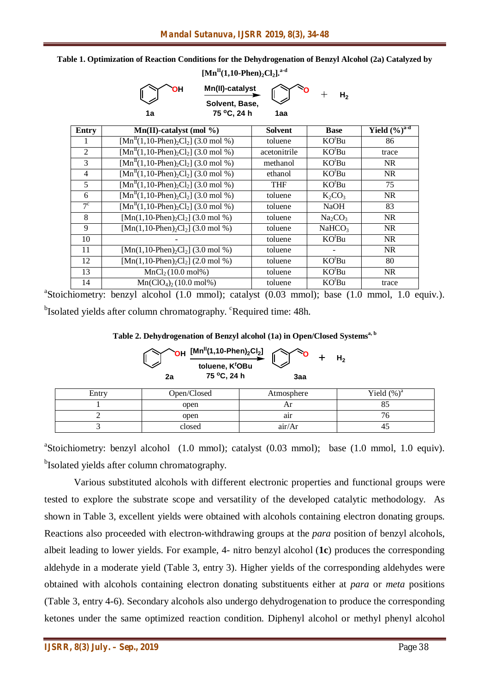| ╱<br>v<br>Solvent, Base, |                                                                                 |                |                                 |                                 |  |  |  |
|--------------------------|---------------------------------------------------------------------------------|----------------|---------------------------------|---------------------------------|--|--|--|
|                          | 75 °C, 24 h<br>1a                                                               | 1aa            |                                 |                                 |  |  |  |
| Entry                    | Mn(II)-catalyst (mol %)                                                         | <b>Solvent</b> | <b>Base</b>                     | Yield $(\sqrt[6]{\cdot})^{a-d}$ |  |  |  |
|                          | $\overline{\text{[Mn}^{\text{II}}(1,10\text{-Phen})_2\text{Cl}_2]}$ (3.0 mol %) | toluene        | KO <sup>t</sup> Bu              | 86                              |  |  |  |
| 2                        | $\overline{\text{[Mn}^{II}(1,10\text{-Phen})_2\text{Cl}_2}$ (3.0 mol %)         | acetonitrile   | KO <sup>t</sup> Bu              | trace                           |  |  |  |
| 3                        | $\overline{\text{[Mn}^{\text{II}}(1,10\text{-Phen})_2\text{Cl}_2]}$ (3.0 mol %) | methanol       | KO <sup>t</sup> Bu              | NR.                             |  |  |  |
| $\overline{4}$           | $\overline{\text{[Mn}^{II}(1,10\text{-Phen})_2\text{Cl}_2}$ (3.0 mol %)         | ethanol        | KO <sup>t</sup> Bu              | <b>NR</b>                       |  |  |  |
| 5                        | $\overline{\text{[Mn}^{II}(1,10\text{-Phen})_2\text{Cl}_2]}$ (3.0 mol %)        | <b>THF</b>     | KO <sup>t</sup> Bu              | 75                              |  |  |  |
| 6                        | $\overline{[Mn^{II}(1,10\text{-Phen})_2Cl_2]}$ (3.0 mol %)                      | toluene        | $K_2CO_3$                       | NR.                             |  |  |  |
| $7^{\circ}$              | $[Mn^{II}(1,10-Phen)_{2}Cl_{2}]$ (3.0 mol %)                                    | toluene        | <b>NaOH</b>                     | 83                              |  |  |  |
| 8                        | $[{\rm Mn}(1,10{\text -}Phen)_2Cl_2]$ (3.0 mol %)                               | toluene        | Na <sub>2</sub> CO <sub>3</sub> | <b>NR</b>                       |  |  |  |
| 9                        | $\overline{[Mn(1,10-Phen)_2Cl_2]}$ (3.0 mol %)                                  | toluene        | NaHCO <sub>3</sub>              | NR                              |  |  |  |
| 10                       |                                                                                 | toluene        | KO <sup>t</sup> Bu              | <b>NR</b>                       |  |  |  |
| 11                       | [Mn(1,10-Phen) <sub>2</sub> Cl <sub>2</sub> ] (3.0 mol %)                       | toluene        |                                 | NR.                             |  |  |  |
| 12                       | $[Mn(1,10-Phen)2Cl2]$ (2.0 mol %)                                               | toluene        | KO'Bu                           | 80                              |  |  |  |
| 13                       | MnCl <sub>2</sub> (10.0 mol%)                                                   | toluene        | KO <sup>t</sup> Bu              | <b>NR</b>                       |  |  |  |
| 14                       | $Mn(CIO4)2 (10.0 mol%)$                                                         | toluene        | KO <sup>t</sup> Bu              | trace                           |  |  |  |

**Table 1. Optimization of Reaction Conditions for the Dehydrogenation of Benzyl Alcohol (2a) Catalyzed by [MnII(1,10-Phen)2Cl2]. a-d**

**OH** Mn(II)-catalyst research

**H<sub>2</sub>** 

<sup>a</sup>Stoichiometry: benzyl alcohol (1.0 mmol); catalyst (0.03 mmol); base (1.0 mmol, 1.0 equiv.).

<sup>b</sup>Isolated yields after column chromatography. <sup>c</sup>Required time: 48h.

**Table 2. Dehydrogenation of Benzyl alcohol (1a) in Open/Closed Systemsa, b**

| OH $[Mn^{II}(1, 10\text{-Phen})_2\text{Cl}_2]$<br>H <sub>2</sub> |             |                                            |            |  |                |  |  |
|------------------------------------------------------------------|-------------|--------------------------------------------|------------|--|----------------|--|--|
|                                                                  | 2a          | toluene, K <sup>t</sup> OBu<br>75 °C, 24 h | 3aa        |  |                |  |  |
| Entry                                                            | Open/Closed |                                            | Atmosphere |  | Yield $(\%)^a$ |  |  |
|                                                                  | open        |                                            | Ar         |  | 85             |  |  |
|                                                                  | open        |                                            | air        |  | 76             |  |  |
|                                                                  | closed      |                                            | air/Ar     |  | 45             |  |  |

<sup>a</sup>Stoichiometry: benzyl alcohol (1.0 mmol); catalyst (0.03 mmol); base (1.0 mmol, 1.0 equiv). <sup>b</sup>Isolated yields after column chromatography.

Various substituted alcohols with different electronic properties and functional groups were tested to explore the substrate scope and versatility of the developed catalytic methodology. As shown in Table 3, excellent yields were obtained with alcohols containing electron donating groups. Reactions also proceeded with electron-withdrawing groups at the *para* position of benzyl alcohols, albeit leading to lower yields. For example, 4- nitro benzyl alcohol (**1c**) produces the corresponding aldehyde in a moderate yield (Table 3, entry 3). Higher yields of the corresponding aldehydes were obtained with alcohols containing electron donating substituents either at *para* or *meta* positions (Table 3, entry 4-6). Secondary alcohols also undergo dehydrogenation to produce the corresponding ketones under the same optimized reaction condition. Diphenyl alcohol or methyl phenyl alcohol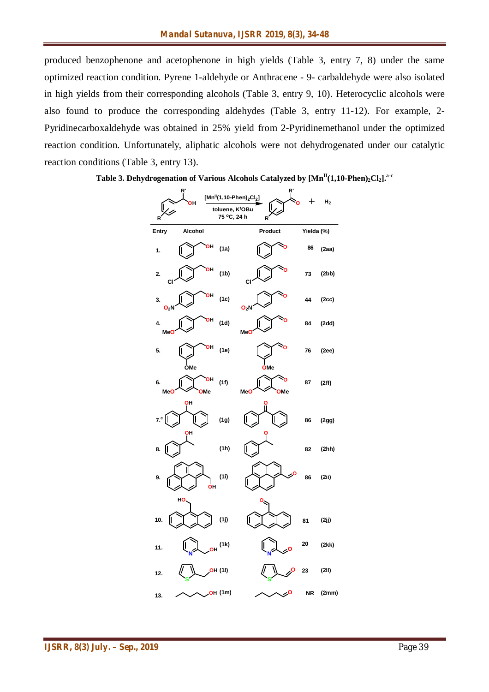produced benzophenone and acetophenone in high yields (Table 3, entry 7, 8) under the same optimized reaction condition. Pyrene 1-aldehyde or Anthracene - 9- carbaldehyde were also isolated in high yields from their corresponding alcohols (Table 3, entry 9, 10). Heterocyclic alcohols were also found to produce the corresponding aldehydes (Table 3, entry 11-12). For example, 2- Pyridinecarboxaldehyde was obtained in 25% yield from 2-Pyridinemethanol under the optimized reaction condition. Unfortunately, aliphatic alcohols were not dehydrogenated under our catalytic reaction conditions (Table 3, entry 13).

**Table 3. Dehydrogenation of Various Alcohols Catalyzed by [MnII(1,10-Phen)2Cl2]. a-c**

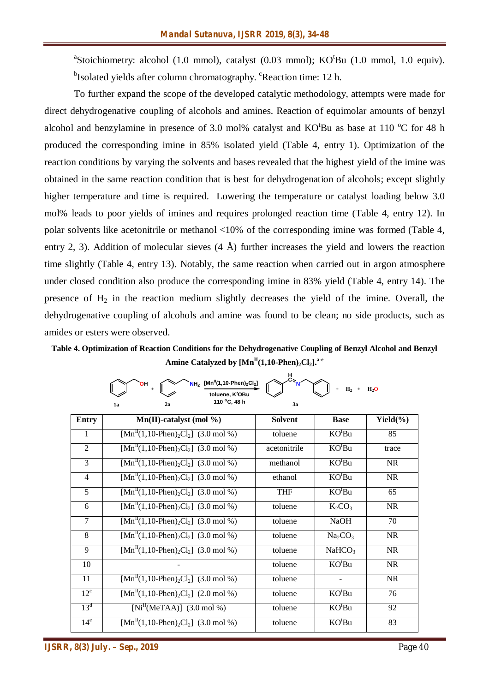<sup>a</sup>Stoichiometry: alcohol (1.0 mmol), catalyst (0.03 mmol); KO'Bu (1.0 mmol, 1.0 equiv). <sup>b</sup>Isolated yields after column chromatography. <sup>c</sup>Reaction time: 12 h.

To further expand the scope of the developed catalytic methodology, attempts were made for direct dehydrogenative coupling of alcohols and amines. Reaction of equimolar amounts of benzyl alcohol and benzylamine in presence of 3.0 mol% catalyst and  $KO<sup>t</sup>Bu$  as base at 110  $^{\circ}C$  for 48 h produced the corresponding imine in 85% isolated yield (Table 4, entry 1). Optimization of the reaction conditions by varying the solvents and bases revealed that the highest yield of the imine was obtained in the same reaction condition that is best for dehydrogenation of alcohols; except slightly higher temperature and time is required. Lowering the temperature or catalyst loading below 3.0 mol% leads to poor yields of imines and requires prolonged reaction time (Table 4, entry 12). In polar solvents like acetonitrile or methanol <10% of the corresponding imine was formed (Table 4, entry 2, 3). Addition of molecular sieves  $(4 \text{ Å})$  further increases the yield and lowers the reaction time slightly (Table 4, entry 13). Notably, the same reaction when carried out in argon atmosphere under closed condition also produce the corresponding imine in 83% yield (Table 4, entry 14). The presence of  $H_2$  in the reaction medium slightly decreases the yield of the imine. Overall, the dehydrogenative coupling of alcohols and amine was found to be clean; no side products, such as amides or esters were observed.

**Table 4. Optimization of Reaction Conditions for the Dehydrogenative Coupling of Benzyl Alcohol and Benzyl Amine Catalyzed by [MnII(1,10-Phen)2Cl2]. a-e**

**H**

|                 | $NH_2$ [Mn <sup>II</sup> (1,10-Phen) <sub>2</sub> Cl <sub>2</sub> ]<br>OН<br>toluene. K <sup>t</sup> OBu<br>110 °C, 48 h<br>2a<br>1a | c <sub>N</sub><br>3a | $H_2$ +                         | H <sub>2</sub> O |
|-----------------|--------------------------------------------------------------------------------------------------------------------------------------|----------------------|---------------------------------|------------------|
| <b>Entry</b>    | $Mn(II)$ -catalyst (mol %)                                                                                                           | <b>Solvent</b>       | <b>Base</b>                     | Yield $(\% )$    |
| 1               | $[Mn^{II}(1,10-Phen)_{2}Cl_{2}]$ (3.0 mol %)                                                                                         | toluene              | KO <sup>t</sup> Bu              | 85               |
| $\overline{2}$  | $\overline{\text{[Mn}^{\text{II}}(1,10\text{-Phen})_2\text{Cl}_2]}$ (3.0 mol %)                                                      | acetonitrile         | KO <sup>t</sup> Bu              | trace            |
| 3               | $[MnII(1,10-Phen)2Cl2]$ (3.0 mol %)                                                                                                  | methanol             | KO <sup>t</sup> Bu              | <b>NR</b>        |
| $\overline{4}$  | $[\text{Mn}^{\text{II}}(1,10\text{-Phen})_2\text{Cl}_2]$ (3.0 mol %)                                                                 | ethanol              | KO <sup>t</sup> Bu              | <b>NR</b>        |
| 5               | $[Mn^{II}(1,10-Phen)_{2}Cl_{2}]$ (3.0 mol %)                                                                                         | <b>THF</b>           | KO <sup>t</sup> Bu              | 65               |
| 6               | $[MnII(1,10-Phen)2Cl2]$ (3.0 mol %)                                                                                                  | toluene              | $K_2CO_3$                       | <b>NR</b>        |
| $\overline{7}$  | $[Mn^{II}(1,10-Phen)_2Cl_2]$ (3.0 mol %)                                                                                             | toluene              | <b>NaOH</b>                     | 70               |
| 8               | $[MnII(1,10-Phen)2Cl2]$ (3.0 mol %)                                                                                                  | toluene              | Na <sub>2</sub> CO <sub>3</sub> | <b>NR</b>        |
| 9               | $[Mn^{II}(1,10-Phen)_{2}Cl_{2}]$ (3.0 mol %)                                                                                         | toluene              | NaHCO <sub>3</sub>              | <b>NR</b>        |
| 10              |                                                                                                                                      | toluene              | KO <sup>t</sup> Bu              | <b>NR</b>        |
| 11              | $\overline{[Mn^{II}(1,10\text{-Phen})_2Cl_2]}$ (3.0 mol %)                                                                           | toluene              |                                 | <b>NR</b>        |
| $12^{\circ}$    | $[MnII(1,10-Phen)2Cl2]$ (2.0 mol %)                                                                                                  | toluene              | KO <sup>t</sup> Bu              | 76               |
| 13 <sup>d</sup> | $[NiII(MeTAA)]$ (3.0 mol %)                                                                                                          | toluene              | KO <sup>t</sup> Bu              | 92               |
| 14 <sup>e</sup> | $[MnII(1,10-Phen)2Cl2]$ (3.0 mol %)                                                                                                  | toluene              | KO <sup>t</sup> Bu              | 83               |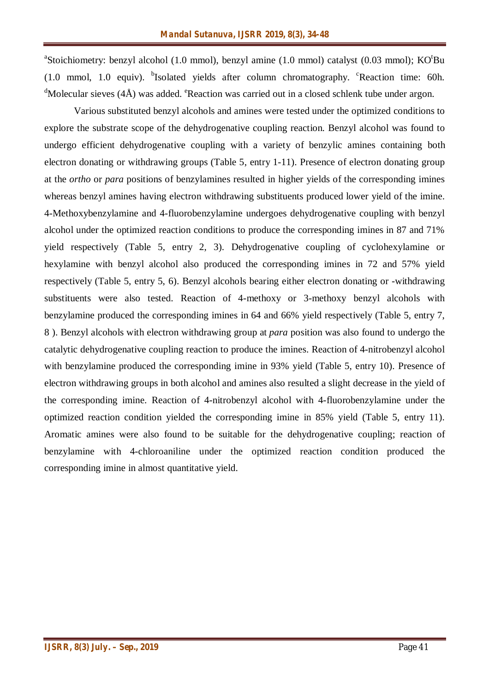<sup>a</sup>Stoichiometry: benzyl alcohol (1.0 mmol), benzyl amine (1.0 mmol) catalyst (0.03 mmol); KO<sup>t</sup>Bu (1.0 mmol, 1.0 equiv). <sup>b</sup>Isolated yields after column chromatography. <sup>c</sup>Reaction time: 60h.  ${}^{d}$ Molecular sieves (4Å) was added. <sup>e</sup>Reaction was carried out in a closed schlenk tube under argon.

Various substituted benzyl alcohols and amines were tested under the optimized conditions to explore the substrate scope of the dehydrogenative coupling reaction. Benzyl alcohol was found to undergo efficient dehydrogenative coupling with a variety of benzylic amines containing both electron donating or withdrawing groups (Table 5, entry 1-11). Presence of electron donating group at the *ortho* or *para* positions of benzylamines resulted in higher yields of the corresponding imines whereas benzyl amines having electron withdrawing substituents produced lower yield of the imine. 4-Methoxybenzylamine and 4-fluorobenzylamine undergoes dehydrogenative coupling with benzyl alcohol under the optimized reaction conditions to produce the corresponding imines in 87 and 71% yield respectively (Table 5, entry 2, 3). Dehydrogenative coupling of cyclohexylamine or hexylamine with benzyl alcohol also produced the corresponding imines in 72 and 57% yield respectively (Table 5, entry 5, 6). Benzyl alcohols bearing either electron donating or -withdrawing substituents were also tested. Reaction of 4-methoxy or 3-methoxy benzyl alcohols with benzylamine produced the corresponding imines in 64 and 66% yield respectively (Table 5, entry 7, 8 ). Benzyl alcohols with electron withdrawing group at *para* position was also found to undergo the catalytic dehydrogenative coupling reaction to produce the imines. Reaction of 4-nitrobenzyl alcohol with benzylamine produced the corresponding imine in 93% yield (Table 5, entry 10). Presence of electron withdrawing groups in both alcohol and amines also resulted a slight decrease in the yield of the corresponding imine. Reaction of 4-nitrobenzyl alcohol with 4-fluorobenzylamine under the optimized reaction condition yielded the corresponding imine in 85% yield (Table 5, entry 11). Aromatic amines were also found to be suitable for the dehydrogenative coupling; reaction of benzylamine with 4-chloroaniline under the optimized reaction condition produced the corresponding imine in almost quantitative yield.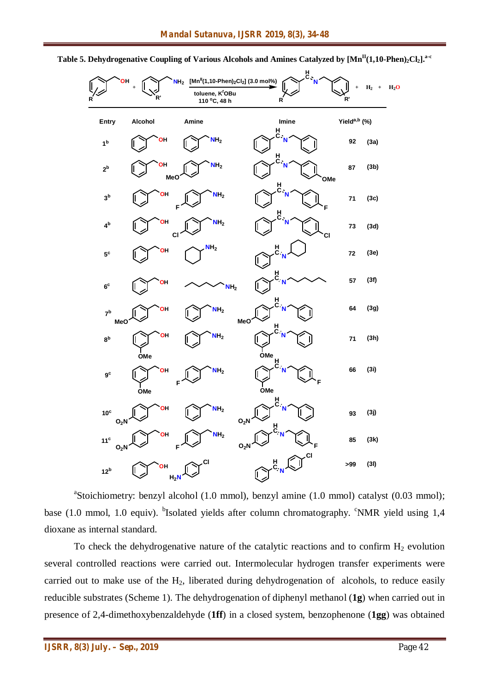

**Table 5. Dehydrogenative Coupling of Various Alcohols and Amines Catalyzed by [MnII(1,10-Phen)2Cl2]. a-c**

<sup>a</sup>Stoichiometry: benzyl alcohol (1.0 mmol), benzyl amine (1.0 mmol) catalyst (0.03 mmol); base (1.0 mmol, 1.0 equiv). <sup>b</sup>Isolated yields after column chromatography. <sup>c</sup>NMR yield using 1,4 dioxane as internal standard.

To check the dehydrogenative nature of the catalytic reactions and to confirm  $H_2$  evolution several controlled reactions were carried out. Intermolecular hydrogen transfer experiments were carried out to make use of the  $H<sub>2</sub>$ , liberated during dehydrogenation of alcohols, to reduce easily reducible substrates (Scheme 1). The dehydrogenation of diphenyl methanol (**1g**) when carried out in presence of 2,4-dimethoxybenzaldehyde (**1ff**) in a closed system, benzophenone (**1gg**) was obtained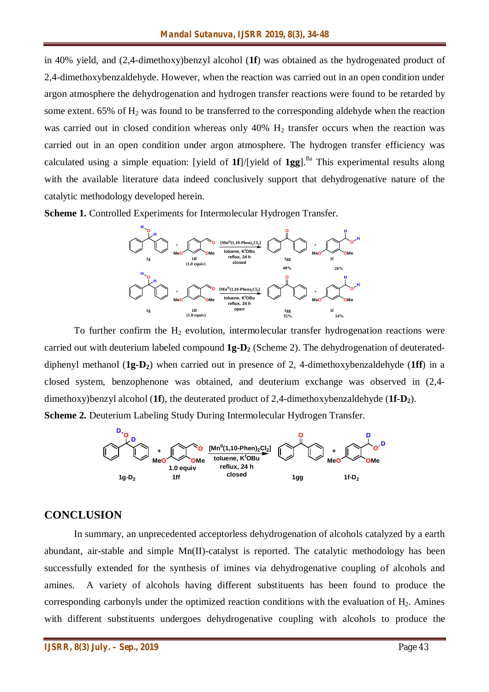in 40% yield, and (2,4-dimethoxy)benzyl alcohol (**1f**) was obtained as the hydrogenated product of 2,4-dimethoxybenzaldehyde. However, when the reaction was carried out in an open condition under argon atmosphere the dehydrogenation and hydrogen transfer reactions were found to be retarded by some extent. 65% of  $H_2$  was found to be transferred to the corresponding aldehyde when the reaction was carried out in closed condition whereas only 40% H<sub>2</sub> transfer occurs when the reaction was carried out in an open condition under argon atmosphere. The hydrogen transfer efficiency was calculated using a simple equation: [yield of  $1f$ ]/[yield of  $1gg$ ].<sup>8a</sup> This experimental results along with the available literature data indeed conclusively support that dehydrogenative nature of the catalytic methodology developed herein.

**Scheme 1.** Controlled Experiments for Intermolecular Hydrogen Transfer.



To further confirm the  $H_2$  evolution, intermolecular transfer hydrogenation reactions were carried out with deuterium labeled compound **1g-D<sup>2</sup>** (Scheme 2). The dehydrogenation of deuterateddiphenyl methanol (**1g-D2**) when carried out in presence of 2, 4-dimethoxybenzaldehyde (**1ff**) in a closed system, benzophenone was obtained, and deuterium exchange was observed in (2,4 dimethoxy)benzyl alcohol (**1f**), the deuterated product of 2,4-dimethoxybenzaldehyde (**1f-D2**).

**Scheme 2.** Deuterium Labeling Study During Intermolecular Hydrogen Transfer.



#### **CONCLUSION**

In summary, an unprecedented acceptorless dehydrogenation of alcohols catalyzed by a earth abundant, air-stable and simple Mn(II)-catalyst is reported. The catalytic methodology has been successfully extended for the synthesis of imines via dehydrogenative coupling of alcohols and amines. A variety of alcohols having different substituents has been found to produce the corresponding carbonyls under the optimized reaction conditions with the evaluation of  $H<sub>2</sub>$ . Amines with different substituents undergoes dehydrogenative coupling with alcohols to produce the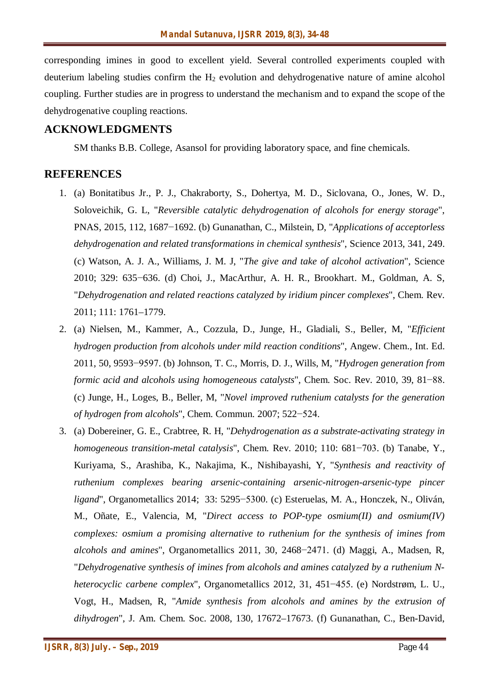corresponding imines in good to excellent yield. Several controlled experiments coupled with deuterium labeling studies confirm the  $H_2$  evolution and dehydrogenative nature of amine alcohol coupling. Further studies are in progress to understand the mechanism and to expand the scope of the dehydrogenative coupling reactions.

#### **ACKNOWLEDGMENTS**

SM thanks B.B. College, Asansol for providing laboratory space, and fine chemicals.

#### **REFERENCES**

- 1. (a) Bonitatibus Jr., P. J., Chakraborty, S., Dohertya, M. D., Siclovana, O., Jones, W. D., Soloveichik, G. L, "*Reversible catalytic dehydrogenation of alcohols for energy storage*", PNAS, 2015, 112, 1687−1692. (b) Gunanathan, C., Milstein, D, "*Applications of acceptorless dehydrogenation and related transformations in chemical synthesis*", Science 2013, 341, 249. (c) Watson, A. J. A., Williams, J. M. J, "*The give and take of alcohol activation*", Science 2010; 329: 635−636. (d) Choi, J., MacArthur, A. H. R., Brookhart. M., Goldman, A. S, "*Dehydrogenation and related reactions catalyzed by iridium pincer complexes*", Chem. Rev. 2011; 111: 1761–1779.
- 2. (a) Nielsen, M., Kammer, A., Cozzula, D., Junge, H., Gladiali, S., Beller, M, "*Efficient hydrogen production from alcohols under mild reaction conditions*", Angew. Chem., Int. Ed. 2011, 50, 9593−9597. (b) Johnson, T. C., Morris, D. J., Wills, M, "*Hydrogen generation from formic acid and alcohols using homogeneous catalysts*", Chem. Soc. Rev. 2010, 39, 81−88. (c) Junge, H., Loges, B., Beller, M, "*Novel improved ruthenium catalysts for the generation of hydrogen from alcohols*", Chem. Commun. 2007; 522−524.
- 3. (a) Dobereiner, G. E., Crabtree, R. H, "*Dehydrogenation as a substrate-activating strategy in homogeneous transition-metal catalysis*", Chem. Rev. 2010; 110: 681−703. (b) Tanabe, Y., Kuriyama, S., Arashiba, K., Nakajima, K., Nishibayashi, Y, "*Synthesis and reactivity of ruthenium complexes bearing arsenic-containing arsenic-nitrogen-arsenic-type pincer ligand*", Organometallics 2014; 33: 5295–5300. (c) Esteruelas, M. A., Honczek, N., Oliván, M., Oñate, E., Valencia, M, "*Direct access to POP-type osmium(II) and osmium(IV) complexes: osmium a promising alternative to ruthenium for the synthesis of imines from alcohols and amines*", Organometallics 2011, 30, 2468−2471. (d) Maggi, A., Madsen, R, "*Dehydrogenative synthesis of imines from alcohols and amines catalyzed by a ruthenium Nheterocyclic carbene complex*", Organometallics 2012, 31, 451−455. (e) Nordstrøm, L. U., Vogt, H., Madsen, R, "*Amide synthesis from alcohols and amines by the extrusion of dihydrogen*", J. Am. Chem. Soc. 2008, 130, 17672–17673. (f) Gunanathan, C., Ben-David,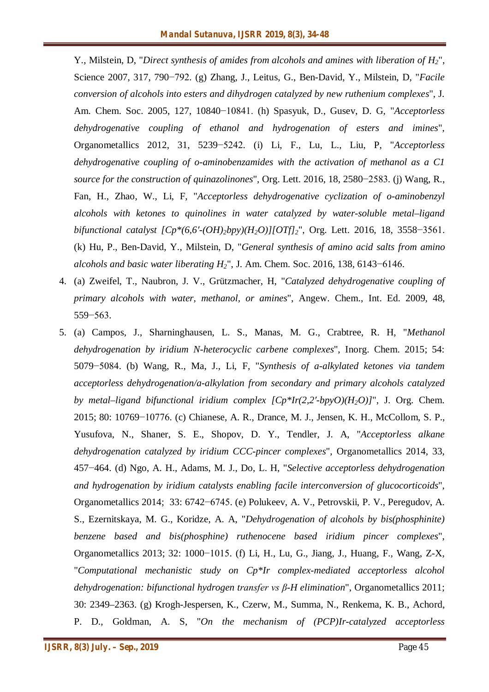Y., Milstein, D, "*Direct synthesis of amides from alcohols and amines with liberation of H2*", Science 2007, 317, 790−792. (g) Zhang, J., Leitus, G., Ben-David, Y., Milstein, D, "*Facile conversion of alcohols into esters and dihydrogen catalyzed by new ruthenium complexes*", J. Am. Chem. Soc. 2005, 127, 10840−10841. (h) Spasyuk, D., Gusev, D. G, "*Acceptorless dehydrogenative coupling of ethanol and hydrogenation of esters and imines*", Organometallics 2012, 31, 5239−5242. (i) Li, F., Lu, L., Liu, P, "*Acceptorless dehydrogenative coupling of o-aminobenzamides with the activation of methanol as a C1 source for the construction of quinazolinones*", Org. Lett. 2016, 18, 2580−2583. (j) Wang, R., Fan, H., Zhao, W., Li, F, "*Acceptorless dehydrogenative cyclization of o-aminobenzyl alcohols with ketones to quinolines in water catalyzed by water-soluble metal–ligand bifunctional catalyst [Cp\*(6,6′-(OH)2bpy)(H2O)][OTf]2*", Org. Lett. 2016, 18, 3558−3561. (k) Hu, P., Ben-David, Y., Milstein, D, "*General synthesis of amino acid salts from amino alcohols and basic water liberating H2*", J. Am. Chem. Soc. 2016, 138, 6143−6146.

- 4. (a) Zweifel, T., Naubron, J. V., Grützmacher, H, "*Catalyzed dehydrogenative coupling of primary alcohols with water, methanol, or amines*", Angew. Chem., Int. Ed. 2009, 48, 559−563.
- 5. (a) Campos, J., Sharninghausen, L. S., Manas, M. G., Crabtree, R. H, "*Methanol dehydrogenation by iridium N-heterocyclic carbene complexes*", Inorg. Chem. 2015; 54: 5079−5084. (b) Wang, R., Ma, J., Li, F, "*Synthesis of a-alkylated ketones via tandem acceptorless dehydrogenation/a-alkylation from secondary and primary alcohols catalyzed by metal–ligand bifunctional iridium complex [Cp\*Ir(2,2′-bpyO)(H2O)]*", J. Org. Chem. 2015; 80: 10769−10776. (c) Chianese, A. R., Drance, M. J., Jensen, K. H., McCollom, S. P., Yusufova, N., Shaner, S. E., Shopov, D. Y., Tendler, J. A, "*Acceptorless alkane dehydrogenation catalyzed by iridium CCC-pincer complexes*", Organometallics 2014, 33, 457−464. (d) Ngo, A. H., Adams, M. J., Do, L. H, "*Selective acceptorless dehydrogenation and hydrogenation by iridium catalysts enabling facile interconversion of glucocorticoids*", Organometallics 2014; 33: 6742−6745. (e) Polukeev, A. V., Petrovskii, P. V., Peregudov, A. S., Ezernitskaya, M. G., Koridze, A. A, "*Dehydrogenation of alcohols by bis(phosphinite) benzene based and bis(phosphine) ruthenocene based iridium pincer complexes*", Organometallics 2013; 32: 1000−1015. (f) Li, H., Lu, G., Jiang, J., Huang, F., Wang, Z-X, "*Computational mechanistic study on Cp\*Ir complex-mediated acceptorless alcohol dehydrogenation: bifunctional hydrogen transfer vs β-H elimination*", Organometallics 2011; 30: 2349–2363. (g) Krogh-Jespersen, K., Czerw, M., Summa, N., Renkema, K. B., Achord, P. D., Goldman, A. S, "*On the mechanism of (PCP)Ir-catalyzed acceptorless*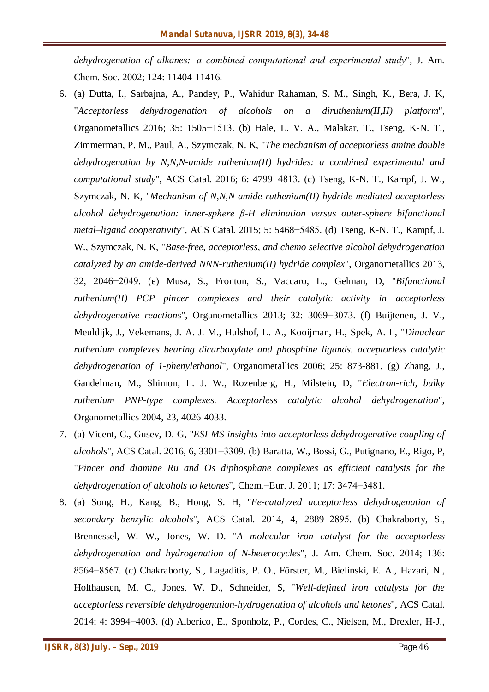*dehydrogenation of alkanes:  a combined computational and experimental study*", J. Am. Chem. Soc. 2002; 124: 11404-11416.

- 6. (a) Dutta, I., Sarbajna, A., Pandey, P., Wahidur Rahaman, S. M., Singh, K., Bera, J. K, "*Acceptorless dehydrogenation of alcohols on a diruthenium(II,II) platform*", Organometallics 2016; 35: 1505−1513. (b) Hale, L. V. A., Malakar, T., Tseng, K-N. T., Zimmerman, P. M., Paul, A., Szymczak, N. K, "*The mechanism of acceptorless amine double dehydrogenation by N,N,N-amide ruthenium(II) hydrides: a combined experimental and computational study*", ACS Catal. 2016; 6: 4799−4813. (c) Tseng, K-N. T., Kampf, J. W., Szymczak, N. K, "*Mechanism of N,N,N-amide ruthenium(II) hydride mediated acceptorless alcohol dehydrogenation: inner-sphere β-H elimination versus outer-sphere bifunctional metal–ligand cooperativity*", ACS Catal. 2015; 5: 5468−5485. (d) Tseng, K-N. T., Kampf, J. W., Szymczak, N. K, "*Base-free, acceptorless, and chemo selective alcohol dehydrogenation catalyzed by an amide-derived NNN-ruthenium(II) hydride complex*", Organometallics 2013, 32, 2046−2049. (e) Musa, S., Fronton, S., Vaccaro, L., Gelman, D, "*Bifunctional ruthenium(II) PCP pincer complexes and their catalytic activity in acceptorless dehydrogenative reactions*", Organometallics 2013; 32: 3069−3073. (f) Buijtenen, J. V., Meuldijk, J., Vekemans, J. A. J. M., Hulshof, L. A., Kooijman, H., Spek, A. L, "*Dinuclear ruthenium complexes bearing dicarboxylate and phosphine ligands. acceptorless catalytic dehydrogenation of 1-phenylethanol*", Organometallics 2006; 25: 873-881. (g) Zhang, J., Gandelman, M., Shimon, L. J. W., Rozenberg, H., Milstein, D, "*Electron-rich, bulky ruthenium PNP-type complexes. Acceptorless catalytic alcohol dehydrogenation*", Organometallics 2004, 23, 4026-4033.
- 7. (a) Vicent, C., Gusev, D. G, "*ESI-MS insights into acceptorless dehydrogenative coupling of alcohols*", ACS Catal. 2016, 6, 3301−3309. (b) Baratta, W., Bossi, G., Putignano, E., Rigo, P, "*Pincer and diamine Ru and Os diphosphane complexes as efficient catalysts for the dehydrogenation of alcohols to ketones*", Chem.−Eur. J. 2011; 17: 3474−3481.
- 8. (a) Song, H., Kang, B., Hong, S. H, "*Fe-catalyzed acceptorless dehydrogenation of secondary benzylic alcohols*", ACS Catal. 2014, 4, 2889−2895. (b) Chakraborty, S., Brennessel, W. W., Jones, W. D. "*A molecular iron catalyst for the acceptorless dehydrogenation and hydrogenation of N-heterocycles*", J. Am. Chem. Soc. 2014; 136: 8564−8567. (c) Chakraborty, S., Lagaditis, P. O., Förster, M., Bielinski, E. A., Hazari, N., Holthausen, M. C., Jones, W. D., Schneider, S, "*Well-defined iron catalysts for the acceptorless reversible dehydrogenation-hydrogenation of alcohols and ketones*", ACS Catal. 2014; 4: 3994−4003. (d) Alberico, E., Sponholz, P., Cordes, C., Nielsen, M., Drexler, H-J.,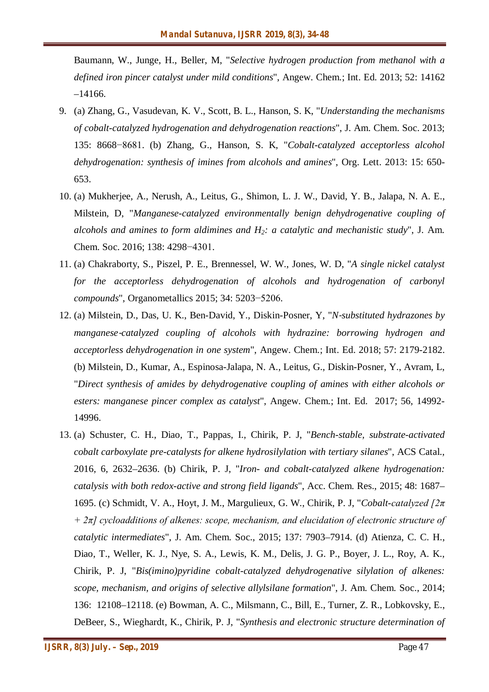Baumann, W., Junge, H., Beller, M, "*Selective hydrogen production from methanol with a defined iron pincer catalyst under mild conditions*", Angew. Chem.; Int. Ed. 2013; 52: 14162 –14166.

- 9. (a) Zhang, G., Vasudevan, K. V., Scott, B. L., Hanson, S. K, "*Understanding the mechanisms of cobalt-catalyzed hydrogenation and dehydrogenation reactions*", J. Am. Chem. Soc. 2013; 135: 8668−8681. (b) Zhang, G., Hanson, S. K, "*Cobalt-catalyzed acceptorless alcohol dehydrogenation: synthesis of imines from alcohols and amines*", Org. Lett. 2013: 15: 650- 653.
- 10. (a) Mukherjee, A., Nerush, A., Leitus, G., Shimon, L. J. W., David, Y. B., Jalapa, N. A. E., Milstein, D, "*Manganese-catalyzed environmentally benign dehydrogenative coupling of alcohols and amines to form aldimines and H2: a catalytic and mechanistic study*", J. Am. Chem. Soc. 2016; 138: 4298−4301.
- 11. (a) Chakraborty, S., Piszel, P. E., Brennessel, W. W., Jones, W. D, "*A single nickel catalyst for the acceptorless dehydrogenation of alcohols and hydrogenation of carbonyl compounds*", Organometallics 2015; 34: 5203−5206.
- 12. (a) Milstein, D., Das, U. K., Ben-David, Y., Diskin-Posner, Y, "*N‐substituted hydrazones by manganese‐catalyzed coupling of alcohols with hydrazine: borrowing hydrogen and acceptorless dehydrogenation in one system*", Angew. Chem.; Int. Ed. 2018; 57: 2179-2182. (b) Milstein, D., Kumar, A., Espinosa-Jalapa, N. A., Leitus, G., Diskin-Posner, Y., Avram, L, "*Direct synthesis of amides by dehydrogenative coupling of amines with either alcohols or esters: manganese pincer complex as catalyst*", Angew. Chem.; Int. Ed. 2017; 56, 14992- 14996.
- 13. (a) Schuster, C. H., Diao, T., Pappas, I., Chirik, P. J, "*Bench-stable, substrate-activated cobalt carboxylate pre-catalysts for alkene hydrosilylation with tertiary silanes*", ACS Catal., 2016, 6, 2632–2636. (b) Chirik, P. J, "*Iron- and cobalt-catalyzed alkene hydrogenation: catalysis with both redox-active and strong field ligands*", Acc. Chem. Res., 2015; 48: 1687– 1695. (c) Schmidt, V. A., Hoyt, J. M., Margulieux, G. W., Chirik, P. J, "*Cobalt-catalyzed [2π + 2π] cycloadditions of alkenes: scope, mechanism, and elucidation of electronic structure of catalytic intermediates*", J. Am. Chem. Soc., 2015; 137: 7903–7914. (d) Atienza, C. C. H., Diao, T., Weller, K. J., Nye, S. A., Lewis, K. M., Delis, J. G. P., Boyer, J. L., Roy, A. K., Chirik, P. J, "*Bis(imino)pyridine cobalt-catalyzed dehydrogenative silylation of alkenes: scope, mechanism, and origins of selective allylsilane formation*", J. Am. Chem. Soc., 2014; 136: 12108–12118. (e) Bowman, A. C., Milsmann, C., Bill, E., Turner, Z. R., Lobkovsky, E., DeBeer, S., Wieghardt, K., Chirik, P. J, "*Synthesis and electronic structure determination of*